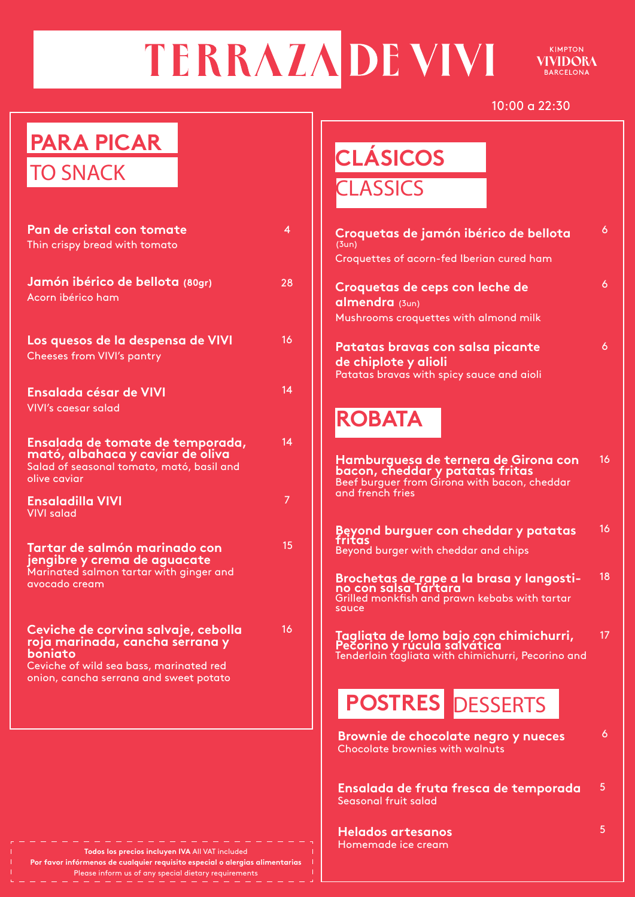# TERRAZADE VIVI VINDORA

10:00 a 22:30

| <b>PARA PICAR</b><br><b>TO SNACK</b>                                                                                                                                   |                | <b>CLÁSICOS</b><br><b>CLASSICS</b>                                                                                                                                                                       |          |
|------------------------------------------------------------------------------------------------------------------------------------------------------------------------|----------------|----------------------------------------------------------------------------------------------------------------------------------------------------------------------------------------------------------|----------|
| Pan de cristal con tomate<br>Thin crispy bread with tomato                                                                                                             | 4              | Croquetas de jamón ibérico de bellota<br>(3un)<br>Croquettes of acorn-fed Iberian cured ham                                                                                                              | 6        |
| Jamón ibérico de bellota (80gr)<br>Acorn ibérico ham                                                                                                                   | 28             | Croquetas de ceps con leche de<br>almendra (3un)<br>Mushrooms croquettes with almond milk                                                                                                                | 6        |
| Los quesos de la despensa de VIVI<br><b>Cheeses from VIVI's pantry</b>                                                                                                 | 16             | Patatas bravas con salsa picante<br>de chiplote y alioli<br>Patatas bravas with spicy sauce and aioli                                                                                                    | 6        |
| <b>Ensalada césar de VIVI</b><br>VIVI's caesar salad                                                                                                                   | 14             | <b>ROBATA</b>                                                                                                                                                                                            |          |
| Ensalada de tomate de temporada,<br>mató, albahaca y caviar de oliva<br>Salad of seasonal tomato, mató, basil and<br>olive caviar                                      | 14             | Hamburguesa de ternera de Girona con<br><b>bacon, cheddar y patatas fritas</b><br>Beef burguer from Girona with bacon, cheddar                                                                           | 16       |
| <b>Ensaladilla VIVI</b><br><b>VIVI salad</b>                                                                                                                           | $\overline{7}$ | and french fries                                                                                                                                                                                         |          |
| Tartar de salmón marinado con<br>jengibre y crema de aguacate<br>Marinated salmon tartar with ginger and<br>avocado cream                                              | 15             | <b>Beyond burguer con cheddar y patatas</b><br>Beyond burger with cheddar and chips<br>Brochetas de rape a la brasa y langosti-<br>no con salsa Tártara<br>Grilled monkfish and prawn kebabs with tartar | 16<br>18 |
| Ceviche de corvina salvaje, cebolla<br>roja marinada, cancha serrana y<br>boniato<br>Ceviche of wild sea bass, marinated red<br>onion, cancha serrana and sweet potato | 16             | sauce<br>Tagliata de Iomo bajo con chimichurri,<br>Pecorino y rúcula salvática<br>Tenderloin tagliata with chimichurri, Pecorino and                                                                     | 17       |
|                                                                                                                                                                        |                | <b>POSTRES</b> DESSERTS                                                                                                                                                                                  |          |
|                                                                                                                                                                        |                | Brownie de chocolate negro y nueces<br>Chocolate brownies with walnuts                                                                                                                                   | 6        |
|                                                                                                                                                                        |                | Ensalada de fruta fresca de temporada<br>Seasonal fruit salad                                                                                                                                            | 5        |
| Todos los precios incluyen IVA All VAT included<br>Por favor infórmenos de cualquier requisito especial o alergias alimentarias                                        |                | <b>Helados artesanos</b><br>Homemade ice cream                                                                                                                                                           | 5        |

Please inform us of any special dietary requirements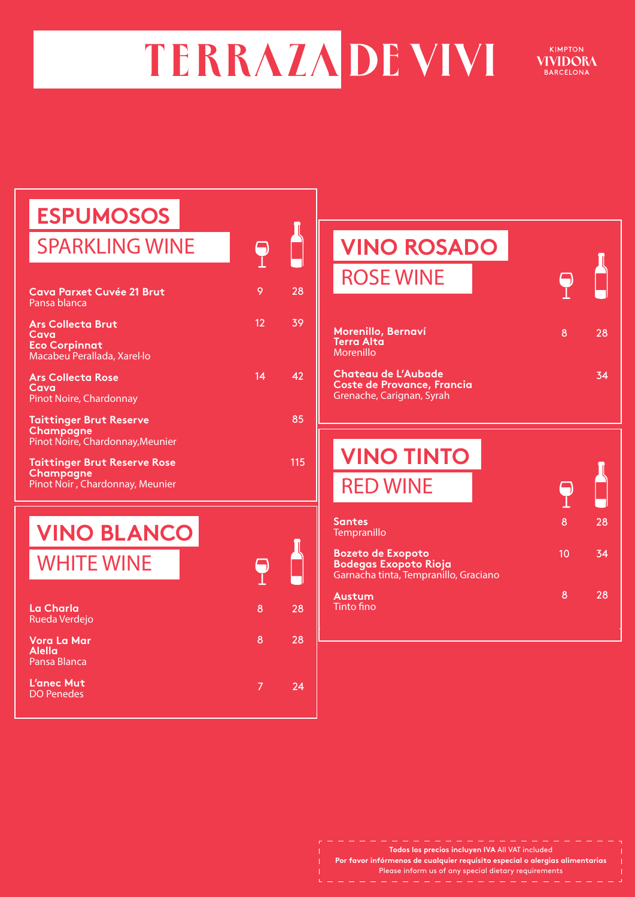# TERRAZA DE VIVI

 $\Box$ 

**KIMPTON VIVIDORA BARCELONA** 

# **ESPUMOSOS**

SPARKLING WINE

| <b>Cava Parxet Cuvée 21 Brut</b><br>Pansa blanca                                        | 9  | 28  |
|-----------------------------------------------------------------------------------------|----|-----|
| <b>Ars Collecta Brut</b><br>Cava<br><b>Eco Corpinnat</b><br>Macabeu Perallada, Xarel·lo | 12 | 39  |
| <b>Ars Collecta Rose</b><br>Cava<br><b>Pinot Noire, Chardonnay</b>                      | 14 | 42  |
| <b>Taittinger Brut Reserve</b><br>Champagne<br>Pinot Noire, Chardonnay, Meunier         |    | 85  |
| <b>Taittinger Brut Reserve Rose</b><br>Champagne<br>Pinot Noir, Chardonnay, Meunier     |    | 115 |

### **VINO BLANCO** WHITE WINE

| La Charla<br>Rueda Verdejo                   | 8 | 28 |
|----------------------------------------------|---|----|
| Vora La Mar<br><b>Alella</b><br>Pansa Blanca | 8 | 28 |
| <b>L'anec Mut</b><br><b>DO Penedes</b>       | 7 | 24 |

| <b>VINO ROSADO</b>                                                             |   |    |
|--------------------------------------------------------------------------------|---|----|
| <b>ROSE WINE</b>                                                               |   |    |
| Morenillo, Bernaví<br><b>Terra Alta</b><br>Morenillo                           | 8 | 28 |
| Chateau de L'Aubade<br>Coste de Provance, Francia<br>Grenache, Carignan, Syrah |   | 34 |

#### **VINO TINTO** RED WINE  $\overline{\P}$ 8 28 **Santes** Tempranillo 10 34 **Bozeto de Exopoto Bodegas Exopoto Rioja** Garnacha tinta, Tempranillo, Graciano 8 28**Austum** Tinto fino

**Todos los precios incluyen IVA** All VAT included **Por favor infórmenos de cualquier requisito especial o alergias alimentarias** Please inform us of any special dietary requirements

<u> 2022 - 2023 - 2023 - 20</u>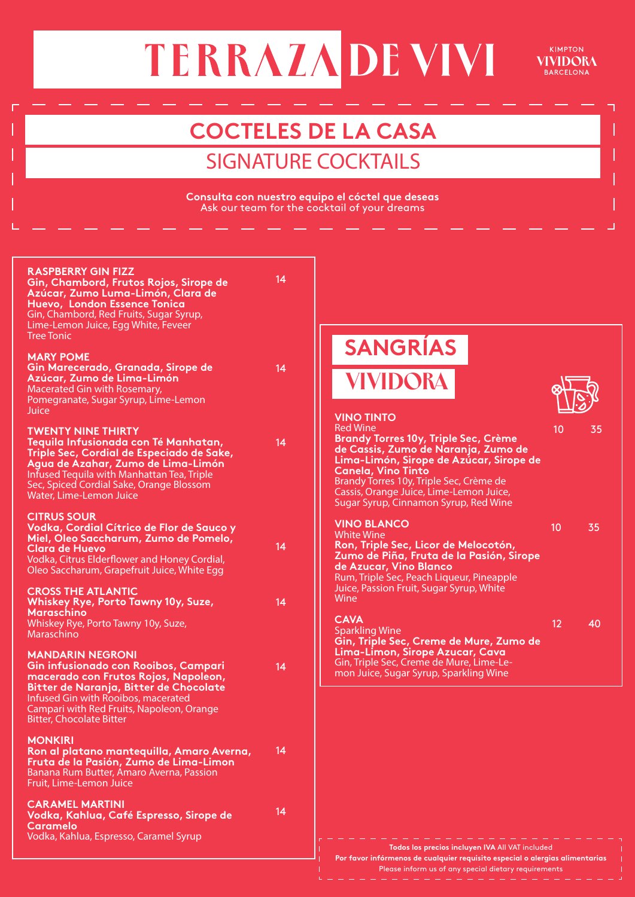# TERRAZA DE VIVI

KIMPTON **VIVIDORA BARCELONA** 

## **COCTELES DE LA CASA** SIGNATURE COCKTAILS

**Consulta con nuestro equipo el cóctel que deseas** Ask our team for the cocktail of your dreams

| <b>RASPBERRY GIN FIZZ</b><br>Gin, Chambord, Frutos Rojos, Sirope de<br>Azúcar, Zumo Luma-Limón, Clara de<br>Huevo, London Essence Tonica<br>Gin, Chambord, Red Fruits, Sugar Syrup,<br>Lime-Lemon Juice, Egg White, Feveer                                                                                                                                                                                                                                              | 14       |                                                                                                                                                                                                                                                                                                                                                                         |          |
|-------------------------------------------------------------------------------------------------------------------------------------------------------------------------------------------------------------------------------------------------------------------------------------------------------------------------------------------------------------------------------------------------------------------------------------------------------------------------|----------|-------------------------------------------------------------------------------------------------------------------------------------------------------------------------------------------------------------------------------------------------------------------------------------------------------------------------------------------------------------------------|----------|
| <b>Tree Tonic</b><br><b>MARY POME</b><br>Gin Marecerado, Granada, Sirope de<br>Azúcar, Zumo de Lima-Limón<br>Macerated Gin with Rosemary,<br>Pomegranate, Sugar Syrup, Lime-Lemon<br>Juice<br><b>TWENTY NINE THIRTY</b><br>Tequila Infusionada con Té Manhatan,<br>Triple Sec, Cordial de Especiado de Sake,<br>Agua de Azahar, Zumo de Lima-Limón<br>Infused Tequila with Manhattan Tea, Triple<br>Sec, Spiced Cordial Sake, Orange Blossom<br>Water, Lime-Lemon Juice | 14<br>14 | <b>SANGRÍAS</b><br><b>VIVIDORA</b><br><b>VINO TINTO</b><br><b>Red Wine</b><br><b>Brandy Torres 10y, Triple Sec, Crème</b><br>de Cassis, Zumo de Naranja, Zumo de<br>Lima-Limón, Sirope de Azúcar, Sirope de<br><b>Canela, Vino Tinto</b><br>Brandy Torres 10y, Triple Sec, Crème de<br>Cassis, Orange Juice, Lime-Lemon Juice,<br>Sugar Syrup, Cinnamon Syrup, Red Wine | 35<br>10 |
| <b>CITRUS SOUR</b><br>Vodka, Cordial Cítrico de Flor de Sauco y<br>Miel, Oleo Saccharum, Zumo de Pomelo,<br><b>Clara de Huevo</b><br>Vodka, Citrus Elderflower and Honey Cordial,<br>Oleo Saccharum, Grapefruit Juice, White Egg<br><b>CROSS THE ATLANTIC</b>                                                                                                                                                                                                           | 14       | <b>VINO BLANCO</b><br><b>White Wine</b><br>Ron, Triple Sec, Licor de Melocotón,<br>Zumo de Piña, Fruta de la Pasión, Sirope<br>de Azucar, Vino Blanco<br>Rum, Triple Sec, Peach Liqueur, Pineapple<br>Juice, Passion Fruit, Sugar Syrup, White                                                                                                                          | 10<br>35 |
| <b>Whiskey Rye, Porto Tawny 10y, Suze,</b><br>Maraschino<br>Whiskey Rye, Porto Tawny 10y, Suze,<br>Maraschino<br><b>MANDARIN NEGRONI</b><br>Gin infusionado con Rooibos, Campari<br>macerado con Frutos Rojos, Napoleon,                                                                                                                                                                                                                                                | 14<br>14 | Wine<br><b>CAVA</b><br><b>Sparkling Wine</b><br>Gin, Triple Sec, Creme de Mure, Zumo de<br>Lima-Limon, Sirope Azucar, Cava<br>Gin, Triple Sec, Creme de Mure, Lime-Le-<br>mon Juice, Sugar Syrup, Sparkling Wine                                                                                                                                                        | 12<br>40 |
| Bitter de Naranja, Bitter de Chocolate<br>Infused Gin with Rooibos, macerated<br>Campari with Red Fruits, Napoleon, Orange<br><b>Bitter, Chocolate Bitter</b><br><b>MONKIRI</b><br>Ron al platano mantequilla, Amaro Averna,<br>Fruta de la Pasión, Zumo de Lima-Limon                                                                                                                                                                                                  | 14       |                                                                                                                                                                                                                                                                                                                                                                         |          |
| Banana Rum Butter, Amaro Averna, Passion<br>Fruit, Lime-Lemon Juice<br><b>CARAMEL MARTINI</b><br>Vodka, Kahlua, Café Espresso, Sirope de<br><b>Caramelo</b><br>Vodka, Kahlua, Espresso, Caramel Syrup                                                                                                                                                                                                                                                                   | 14       | Todos los precios incluyen IVA All VAT included                                                                                                                                                                                                                                                                                                                         |          |
|                                                                                                                                                                                                                                                                                                                                                                                                                                                                         |          | Por favor infórmenos de cualquier requisito especial o alergias alimentarias<br>Please inform us of any special dietary requirements                                                                                                                                                                                                                                    |          |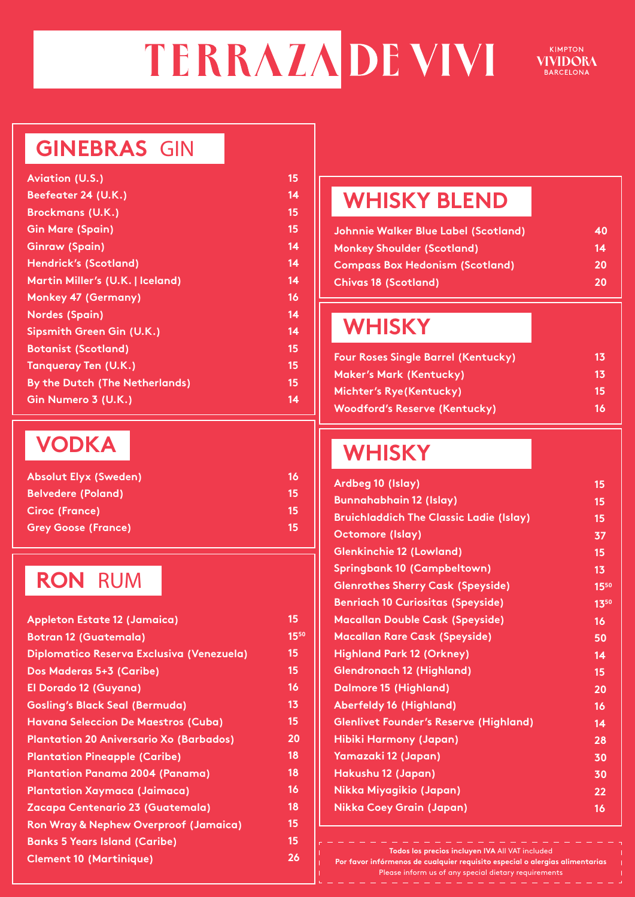# TERRAZADE VIVI VIVIDORA

### **GINEBRAS** GIN

| Aviation (U.S.)                  | 15 |
|----------------------------------|----|
| Beefeater 24 (U.K.)              | 14 |
| <b>Brockmans (U.K.)</b>          | 15 |
| <b>Gin Mare (Spain)</b>          | 15 |
| Ginraw (Spain)                   | 14 |
| Hendrick's (Scotland)            | 14 |
| Martin Miller's (U.K.   Iceland) | 14 |
| <b>Monkey 47 (Germany)</b>       | 16 |
| <b>Nordes (Spain)</b>            | 14 |
| Sipsmith Green Gin (U.K.)        | 14 |
| <b>Botanist (Scotland)</b>       | 15 |
| <b>Tanqueray Ten (U.K.)</b>      | 15 |
| By the Dutch (The Netherlands)   | 15 |
| Gin Numero 3 (U.K.)              | 14 |

### **VODKA**

| 16 |
|----|
| 15 |
| 15 |
| 15 |
|    |

#### **RON** RUM

| Appleton Estate 12 (Jamaica)                   | 15   |
|------------------------------------------------|------|
| <b>Botran 12 (Guatemala)</b>                   | 1550 |
| Diplomatico Reserva Exclusiva (Venezuela)      | 15   |
| Dos Maderas 5+3 (Caribe)                       | 15   |
| El Dorado 12 (Guyana)                          | 16   |
| <b>Gosling's Black Seal (Bermuda)</b>          | 13   |
| Havana Seleccion De Maestros (Cuba)            | 15   |
| <b>Plantation 20 Aniversario Xo (Barbados)</b> | 20   |
| <b>Plantation Pineapple (Caribe)</b>           | 18   |
| <b>Plantation Panama 2004 (Panama)</b>         | 18   |
| Plantation Xaymaca (Jaimaca)                   | 16   |
| Zacapa Centenario 23 (Guatemala)               | 18   |
| Ron Wray & Nephew Overproof (Jamaica)          | 15   |
| <b>Banks 5 Years Island (Caribe)</b>           | 15   |
| <b>Clement 10 (Martinique)</b>                 | 26   |
|                                                |      |

### **WHISKY BLEND**

| Johnnie Walker Blue Label (Scotland)   | 40        |
|----------------------------------------|-----------|
| <b>Monkey Shoulder (Scotland)</b>      | 14        |
| <b>Compass Box Hedonism (Scotland)</b> | <b>20</b> |
| <b>Chivas 18 (Scotland)</b>            | 20        |

### **WHISKY**

| Four Roses Single Barrel (Kentucky) | 13 |
|-------------------------------------|----|
| <b>Maker's Mark (Kentucky)</b>      | 13 |
| Michter's Rye(Kentucky)             | 15 |
| Woodford's Reserve (Kentucky)       | 16 |

# **WHISKY**

| Ardbeg 10 (Islay)                              | 15        |
|------------------------------------------------|-----------|
| <b>Bunnahabhain 12 (Islay)</b>                 | 15        |
| <b>Bruichladdich The Classic Ladie (Islay)</b> | 15        |
| <b>Octomore (Islay)</b>                        | 37        |
| <b>Glenkinchie 12 (Lowland)</b>                | 15        |
| Springbank 10 (Campbeltown)                    | 13        |
| <b>Glenrothes Sherry Cask (Speyside)</b>       | $15^{50}$ |
| <b>Benriach 10 Curiositas (Speyside)</b>       | 1350      |
| <b>Macallan Double Cask (Speyside)</b>         | 16        |
| <b>Macallan Rare Cask (Speyside)</b>           | 50        |
| <b>Highland Park 12 (Orkney)</b>               | 14        |
| <b>Glendronach 12 (Highland)</b>               | 15        |
| <b>Dalmore 15 (Highland)</b>                   | 20        |
| <b>Aberfeldy 16 (Highland)</b>                 | 16        |
| <b>Glenlivet Founder's Reserve (Highland)</b>  | 14        |
| Hibiki Harmony (Japan)                         | 28        |
| Yamazaki 12 (Japan)                            | 30        |
| Hakushu 12 (Japan)                             | 30        |
| Nikka Miyagikio (Japan)                        | 22        |
| Nikka Coey Grain (Japan)                       | 16        |
|                                                |           |

**<sup>26</sup> Todos los precios incluyen IVA** All VAT included **Por favor infórmenos de cualquier requisito especial o alergias alimentarias** Please inform us of any special dietary requirements